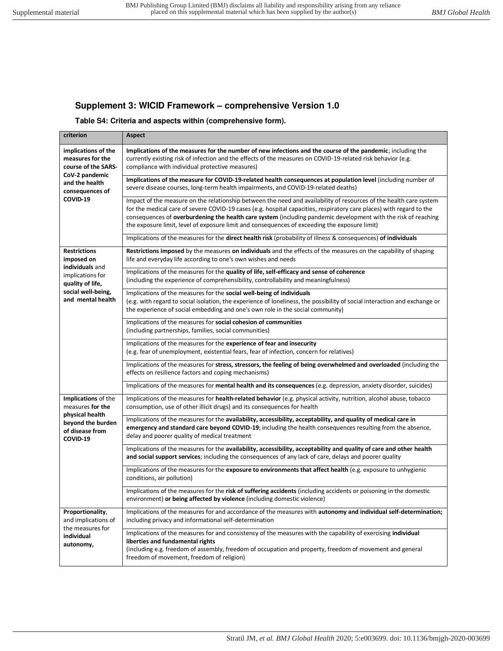## **Supplement 3: WICID Framework – comprehensive Version 1.0**

## **Table S4: Criteria and aspects within (comprehensive form).**

| criterion                                                                                                                               | Aspect                                                                                                                                                                                                                                                                                                                                                                                                                                                        |
|-----------------------------------------------------------------------------------------------------------------------------------------|---------------------------------------------------------------------------------------------------------------------------------------------------------------------------------------------------------------------------------------------------------------------------------------------------------------------------------------------------------------------------------------------------------------------------------------------------------------|
| implications of the<br>measures for the<br>course of the SARS-<br>CoV-2 pandemic<br>and the health<br>consequences of<br>COVID-19       | Implications of the measures for the number of new infections and the course of the pandemic; including the<br>currently existing risk of infection and the effects of the measures on COVID-19-related risk behavior (e.g.<br>compliance with individual protective measures)                                                                                                                                                                                |
|                                                                                                                                         | Implications of the measure for COVID-19-related health consequences at population level (including number of<br>severe disease courses, long-term health impairments, and COVID-19-related deaths)                                                                                                                                                                                                                                                           |
|                                                                                                                                         | Impact of the measure on the relationship between the need and availability of resources of the health care system<br>for the medical care of severe COVID-19 cases (e.g. hospital capacities, respiratory care places) with regard to the<br>consequences of overburdening the health care system (including pandemic development with the risk of reaching<br>the exposure limit, level of exposure limit and consequences of exceeding the exposure limit) |
|                                                                                                                                         | Implications of the measures for the direct health risk (probability of illness & consequences) of individuals                                                                                                                                                                                                                                                                                                                                                |
| <b>Restrictions</b><br>imposed on<br>individuals and<br>implications for<br>quality of life,<br>social well-being,<br>and mental health | Restrictions imposed by the measures on individuals and the effects of the measures on the capability of shaping<br>life and everyday life according to one's own wishes and needs                                                                                                                                                                                                                                                                            |
|                                                                                                                                         | Implications of the measures for the quality of life, self-efficacy and sense of coherence<br>(including the experience of comprehensibility, controllability and meaningfulness)                                                                                                                                                                                                                                                                             |
|                                                                                                                                         | Implications of the measures for the social well-being of individuals<br>(e.g. with regard to social isolation, the experience of loneliness, the possibility of social interaction and exchange or<br>the experience of social embedding and one's own role in the social community)                                                                                                                                                                         |
|                                                                                                                                         | Implications of the measures for social cohesion of communities<br>(including partnerships, families, social communities)                                                                                                                                                                                                                                                                                                                                     |
|                                                                                                                                         | Implications of the measures for the experience of fear and insecurity<br>(e.g. fear of unemployment, existential fears, fear of infection, concern for relatives)                                                                                                                                                                                                                                                                                            |
|                                                                                                                                         | Implications of the measures for stress, stressors, the feeling of being overwhelmed and overloaded (including the<br>effects on resilience factors and coping mechanisms)                                                                                                                                                                                                                                                                                    |
|                                                                                                                                         | Implications of the measures for mental health and its consequences (e.g. depression, anxiety disorder, suicides)                                                                                                                                                                                                                                                                                                                                             |
| Implications of the<br>measures for the<br>physical health<br>beyond the burden<br>of disease from<br>COVID-19                          | Implications of the measures for health-related behavior (e.g. physical activity, nutrition, alcohol abuse, tobacco<br>consumption, use of other illicit drugs) and its consequences for health                                                                                                                                                                                                                                                               |
|                                                                                                                                         | Implications of the measures for the availability, accessibility, acceptability, and quality of medical care in<br>emergency and standard care beyond COVID-19; including the health consequences resulting from the absence,<br>delay and poorer quality of medical treatment                                                                                                                                                                                |
|                                                                                                                                         | Implications of the measures for the availability, accessibility, acceptability and quality of care and other health<br>and social support services; including the consequences of any lack of care, delays and poorer quality                                                                                                                                                                                                                                |
|                                                                                                                                         | Implications of the measures for the exposure to environments that affect health (e.g. exposure to unhygienic<br>conditions, air pollution)                                                                                                                                                                                                                                                                                                                   |
|                                                                                                                                         | Implications of the measures for the risk of suffering accidents (including accidents or poisoning in the domestic<br>environment) or being affected by violence (including domestic violence)                                                                                                                                                                                                                                                                |
| Proportionality,<br>and implications of<br>the measures for<br>individual<br>autonomy,                                                  | Implications of the measures for and accordance of the measures with autonomy and individual self-determination;<br>including privacy and informational self-determination                                                                                                                                                                                                                                                                                    |
|                                                                                                                                         | Implications of the measures for and consistency of the measures with the capability of exercising individual<br>liberties and fundamental rights<br>(including e.g. freedom of assembly, freedom of occupation and property, freedom of movement and general<br>freedom of movement, freedom of religion)                                                                                                                                                    |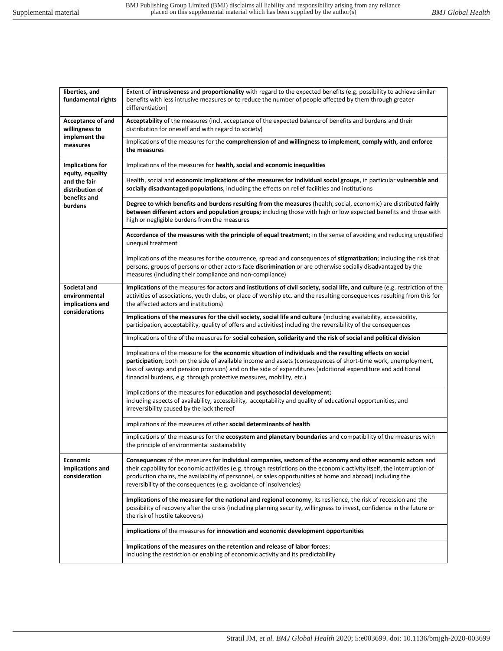| liberties, and<br>fundamental rights                                                                      | Extent of intrusiveness and proportionality with regard to the expected benefits (e.g. possibility to achieve similar<br>benefits with less intrusive measures or to reduce the number of people affected by them through greater<br>differentiation)                                                                                                                                                                       |
|-----------------------------------------------------------------------------------------------------------|-----------------------------------------------------------------------------------------------------------------------------------------------------------------------------------------------------------------------------------------------------------------------------------------------------------------------------------------------------------------------------------------------------------------------------|
| Acceptance of and<br>willingness to<br>implement the<br>measures                                          | Acceptability of the measures (incl. acceptance of the expected balance of benefits and burdens and their<br>distribution for oneself and with regard to society)                                                                                                                                                                                                                                                           |
|                                                                                                           | Implications of the measures for the comprehension of and willingness to implement, comply with, and enforce<br>the measures                                                                                                                                                                                                                                                                                                |
| <b>Implications for</b><br>equity, equality<br>and the fair<br>distribution of<br>benefits and<br>burdens | Implications of the measures for health, social and economic inequalities                                                                                                                                                                                                                                                                                                                                                   |
|                                                                                                           | Health, social and economic implications of the measures for individual social groups, in particular vulnerable and<br>socially disadvantaged populations, including the effects on relief facilities and institutions                                                                                                                                                                                                      |
|                                                                                                           | Degree to which benefits and burdens resulting from the measures (health, social, economic) are distributed fairly<br>between different actors and population groups; including those with high or low expected benefits and those with<br>high or negligible burdens from the measures                                                                                                                                     |
|                                                                                                           | Accordance of the measures with the principle of equal treatment; in the sense of avoiding and reducing unjustified<br>unequal treatment                                                                                                                                                                                                                                                                                    |
|                                                                                                           | Implications of the measures for the occurrence, spread and consequences of stigmatization; including the risk that<br>persons, groups of persons or other actors face discrimination or are otherwise socially disadvantaged by the<br>measures (including their compliance and non-compliance)                                                                                                                            |
| Societal and<br>environmental<br>implications and<br>considerations                                       | Implications of the measures for actors and institutions of civil society, social life, and culture (e.g. restriction of the<br>activities of associations, youth clubs, or place of worship etc. and the resulting consequences resulting from this for<br>the affected actors and institutions)                                                                                                                           |
|                                                                                                           | Implications of the measures for the civil society, social life and culture (including availability, accessibility,<br>participation, acceptability, quality of offers and activities) including the reversibility of the consequences                                                                                                                                                                                      |
|                                                                                                           | Implications of the of the measures for social cohesion, solidarity and the risk of social and political division                                                                                                                                                                                                                                                                                                           |
|                                                                                                           | Implications of the measure for the economic situation of individuals and the resulting effects on social<br>participation; both on the side of available income and assets (consequences of short-time work, unemployment,<br>loss of savings and pension provision) and on the side of expenditures (additional expenditure and additional<br>financial burdens, e.g. through protective measures, mobility, etc.)        |
|                                                                                                           | implications of the measures for education and psychosocial development;<br>including aspects of availability, accessibility, acceptability and quality of educational opportunities, and<br>irreversibility caused by the lack thereof                                                                                                                                                                                     |
|                                                                                                           | implications of the measures of other social determinants of health                                                                                                                                                                                                                                                                                                                                                         |
|                                                                                                           | implications of the measures for the ecosystem and planetary boundaries and compatibility of the measures with<br>the principle of environmental sustainability                                                                                                                                                                                                                                                             |
| <b>Economic</b><br>implications and<br>consideration                                                      | Consequences of the measures for individual companies, sectors of the economy and other economic actors and<br>their capability for economic activities (e.g. through restrictions on the economic activity itself, the interruption of<br>production chains, the availability of personnel, or sales opportunities at home and abroad) including the<br>reversibility of the consequences (e.g. avoidance of insolvencies) |
|                                                                                                           | Implications of the measure for the national and regional economy, its resilience, the risk of recession and the<br>possibility of recovery after the crisis (including planning security, willingness to invest, confidence in the future or<br>the risk of hostile takeovers)                                                                                                                                             |
|                                                                                                           | implications of the measures for innovation and economic development opportunities                                                                                                                                                                                                                                                                                                                                          |
|                                                                                                           | Implications of the measures on the retention and release of labor forces;<br>including the restriction or enabling of economic activity and its predictability                                                                                                                                                                                                                                                             |